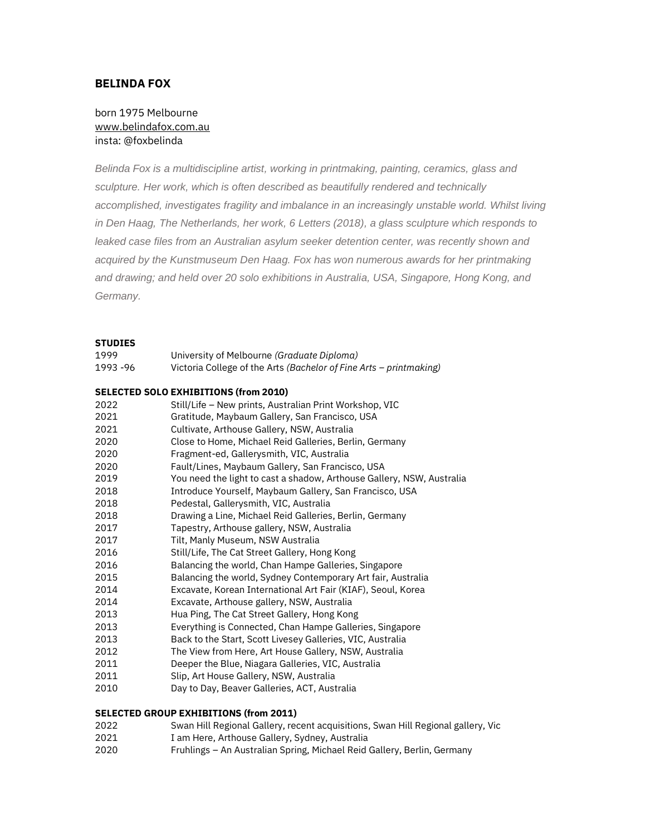# **BELINDA FOX**

## born 1975 Melbourne [www.belindafox.com.au](http://www.belindafox.com.au/) insta: @foxbelinda

*Belinda Fox is a multidiscipline artist, working in printmaking, painting, ceramics, glass and sculpture. Her work, which is often described as beautifully rendered and technically accomplished, investigates fragility and imbalance in an increasingly unstable world. Whilst living in Den Haag, The Netherlands, her work, 6 Letters (2018), a glass sculpture which responds to leaked case files from an Australian asylum seeker detention center, was recently shown and acquired by the Kunstmuseum Den Haag. Fox has won numerous awards for her printmaking and drawing; and held over 20 solo exhibitions in Australia, USA, Singapore, Hong Kong, and Germany.*

#### **STUDIES**

| 1999     | University of Melbourne (Graduate Diploma)                            |
|----------|-----------------------------------------------------------------------|
| 1993 -96 | Victoria College of the Arts (Bachelor of Fine Arts - printmaking)    |
|          | <b>SELECTED SOLO EXHIBITIONS (from 2010)</b>                          |
| 2022     | Still/Life - New prints, Australian Print Workshop, VIC               |
| 2021     | Gratitude, Maybaum Gallery, San Francisco, USA                        |
| 2021     | Cultivate, Arthouse Gallery, NSW, Australia                           |
| 2020     | Close to Home, Michael Reid Galleries, Berlin, Germany                |
| 2020     | Fragment-ed, Gallerysmith, VIC, Australia                             |
| 2020     | Fault/Lines, Maybaum Gallery, San Francisco, USA                      |
| 2019     | You need the light to cast a shadow, Arthouse Gallery, NSW, Australia |
| 2018     | Introduce Yourself, Maybaum Gallery, San Francisco, USA               |
| 2018     | Pedestal, Gallerysmith, VIC, Australia                                |
| 2018     | Drawing a Line, Michael Reid Galleries, Berlin, Germany               |
| 2017     | Tapestry, Arthouse gallery, NSW, Australia                            |
| 2017     | Tilt, Manly Museum, NSW Australia                                     |
| 2016     | Still/Life, The Cat Street Gallery, Hong Kong                         |
| 2016     | Balancing the world, Chan Hampe Galleries, Singapore                  |
| 2015     | Balancing the world, Sydney Contemporary Art fair, Australia          |
| 2014     | Excavate, Korean International Art Fair (KIAF), Seoul, Korea          |
| 2014     | Excavate, Arthouse gallery, NSW, Australia                            |
| 2013     | Hua Ping, The Cat Street Gallery, Hong Kong                           |
| 2013     | Everything is Connected, Chan Hampe Galleries, Singapore              |
| 2013     | Back to the Start, Scott Livesey Galleries, VIC, Australia            |
| 2012     | The View from Here, Art House Gallery, NSW, Australia                 |
| 2011     | Deeper the Blue, Niagara Galleries, VIC, Australia                    |
| 2011     | Slip, Art House Gallery, NSW, Australia                               |
| 2010     | Day to Day, Beaver Galleries, ACT, Australia                          |

#### **SELECTED GROUP EXHIBITIONS (from 2011)**

- Swan Hill Regional Gallery, recent acquisitions, Swan Hill Regional gallery, Vic
- I am Here, Arthouse Gallery, Sydney, Australia
- Fruhlings An Australian Spring, Michael Reid Gallery, Berlin, Germany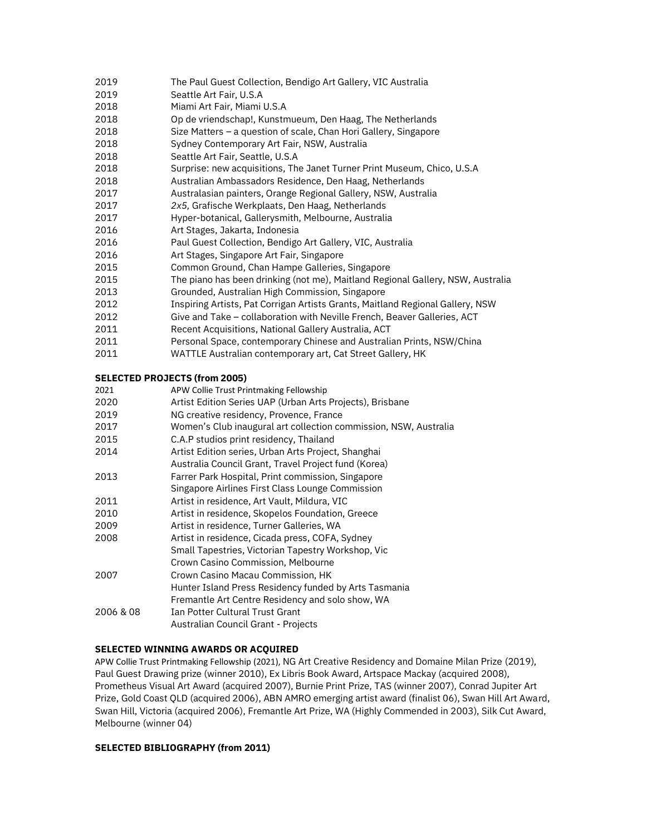- The Paul Guest Collection, Bendigo Art Gallery, VIC Australia
- Seattle Art Fair, U.S.A
- Miami Art Fair, Miami U.S.A
- Op de vriendschap!, Kunstmueum, Den Haag, The Netherlands
- Size Matters a question of scale, Chan Hori Gallery, Singapore
- Sydney Contemporary Art Fair, NSW, Australia
- Seattle Art Fair, Seattle, U.S.A
- Surprise: new acquisitions, The Janet Turner Print Museum, Chico, U.S.A
- Australian Ambassadors Residence, Den Haag, Netherlands
- Australasian painters, Orange Regional Gallery, NSW, Australia
- *2x5,* Grafische Werkplaats, Den Haag, Netherlands
- Hyper-botanical, Gallerysmith, Melbourne, Australia
- Art Stages, Jakarta, Indonesia
- Paul Guest Collection, Bendigo Art Gallery, VIC, Australia
- Art Stages, Singapore Art Fair, Singapore
- Common Ground, Chan Hampe Galleries, Singapore
- The piano has been drinking (not me), Maitland Regional Gallery, NSW, Australia
- Grounded, Australian High Commission, Singapore
- Inspiring Artists, Pat Corrigan Artists Grants, Maitland Regional Gallery, NSW
- Give and Take collaboration with Neville French, Beaver Galleries, ACT
- Recent Acquisitions, National Gallery Australia, ACT
- Personal Space, contemporary Chinese and Australian Prints, NSW/China
- WATTLE Australian contemporary art, Cat Street Gallery, HK

#### **SELECTED PROJECTS (from 2005)**

- APW Collie Trust Printmaking Fellowship
- Artist Edition Series UAP (Urban Arts Projects), Brisbane
- NG creative residency, Provence, France
- Women's Club inaugural art collection commission, NSW, Australia
- C.A.P studios print residency, Thailand
- Artist Edition series, Urban Arts Project, Shanghai Australia Council Grant, Travel Project fund (Korea)
- Farrer Park Hospital, Print commission, Singapore
- Singapore Airlines First Class Lounge Commission
- Artist in residence, Art Vault, Mildura, VIC
- Artist in residence, Skopelos Foundation, Greece
- Artist in residence, Turner Galleries, WA
- Artist in residence, Cicada press, COFA, Sydney Small Tapestries, Victorian Tapestry Workshop, Vic
- Crown Casino Commission, Melbourne
- Crown Casino Macau Commission, HK
- Hunter Island Press Residency funded by Arts Tasmania Fremantle Art Centre Residency and solo show, WA
- 2006 & 08 Ian Potter Cultural Trust Grant
	- Australian Council Grant Projects

### **SELECTED WINNING AWARDS OR ACQUIRED**

APW Collie Trust Printmaking Fellowship (2021), NG Art Creative Residency and Domaine Milan Prize (2019), Paul Guest Drawing prize (winner 2010), Ex Libris Book Award, Artspace Mackay (acquired 2008), Prometheus Visual Art Award (acquired 2007), Burnie Print Prize, TAS (winner 2007), Conrad Jupiter Art Prize, Gold Coast QLD (acquired 2006), ABN AMRO emerging artist award (finalist 06), Swan Hill Art Award, Swan Hill, Victoria (acquired 2006), Fremantle Art Prize, WA (Highly Commended in 2003), Silk Cut Award, Melbourne (winner 04)

#### **SELECTED BIBLIOGRAPHY (from 2011)**